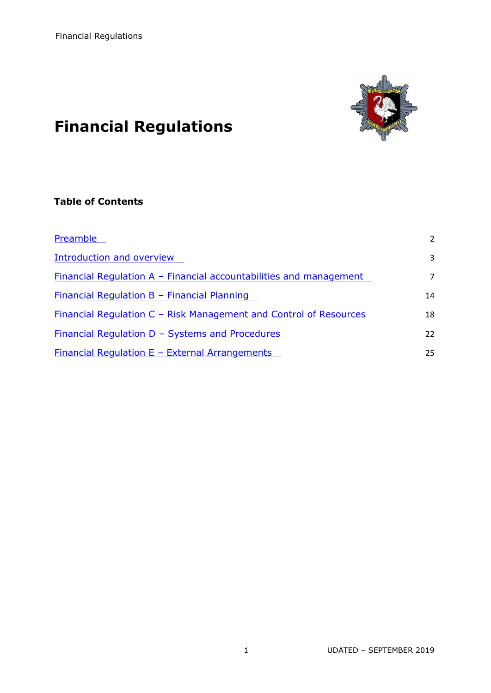

# **Financial Regulations**

# **Table of Contents**

<span id="page-0-0"></span>

| Preamble                                                           | 2  |
|--------------------------------------------------------------------|----|
| <b>Introduction and overview</b>                                   | 3  |
| Financial Regulation A – Financial accountabilities and management | 7  |
| <u> Financial Regulation B - Financial Planning</u>                | 14 |
| Financial Regulation C - Risk Management and Control of Resources  | 18 |
| <u>Financial Regulation D - Systems and Procedures</u>             | 22 |
| Financial Regulation $E$ – External Arrangements                   | 25 |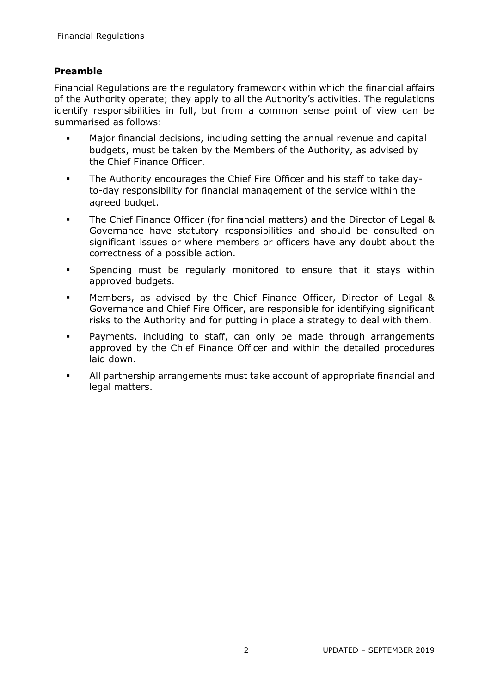# **Preamble**

Financial Regulations are the regulatory framework within which the financial affairs of the Authority operate; they apply to all the Authority's activities. The regulations identify responsibilities in full, but from a common sense point of view can be summarised as follows:

- Major financial decisions, including setting the annual revenue and capital budgets, must be taken by the Members of the Authority, as advised by the Chief Finance Officer.
- The Authority encourages the Chief Fire Officer and his staff to take dayto-day responsibility for financial management of the service within the agreed budget.
- The Chief Finance Officer (for financial matters) and the Director of Legal & Governance have statutory responsibilities and should be consulted on significant issues or where members or officers have any doubt about the correctness of a possible action.
- Spending must be regularly monitored to ensure that it stays within approved budgets.
- **Members, as advised by the Chief Finance Officer, Director of Legal &** Governance and Chief Fire Officer, are responsible for identifying significant risks to the Authority and for putting in place a strategy to deal with them.
- **•** Payments, including to staff, can only be made through arrangements approved by the Chief Finance Officer and within the detailed procedures laid down.
- All partnership arrangements must take account of appropriate financial and legal matters.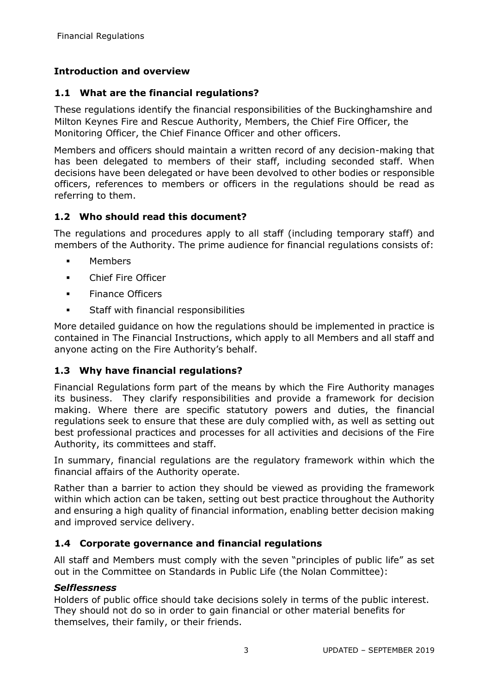# <span id="page-2-0"></span>**Introduction and overview**

# **1.1 What are the financial regulations?**

These regulations identify the financial responsibilities of the Buckinghamshire and Milton Keynes Fire and Rescue Authority, Members, the Chief Fire Officer, the Monitoring Officer, the Chief Finance Officer and other officers.

Members and officers should maintain a written record of any decision-making that has been delegated to members of their staff, including seconded staff. When decisions have been delegated or have been devolved to other bodies or responsible officers, references to members or officers in the regulations should be read as referring to them.

#### **1.2 Who should read this document?**

The regulations and procedures apply to all staff (including temporary staff) and members of the Authority. The prime audience for financial regulations consists of:

- Members
- Chief Fire Officer
- **Finance Officers**
- **Staff with financial responsibilities**

More detailed guidance on how the regulations should be implemented in practice is contained in The Financial Instructions, which apply to all Members and all staff and anyone acting on the Fire Authority's behalf.

# **1.3 Why have financial regulations?**

Financial Regulations form part of the means by which the Fire Authority manages its business. They clarify responsibilities and provide a framework for decision making. Where there are specific statutory powers and duties, the financial regulations seek to ensure that these are duly complied with, as well as setting out best professional practices and processes for all activities and decisions of the Fire Authority, its committees and staff.

In summary, financial regulations are the regulatory framework within which the financial affairs of the Authority operate.

Rather than a barrier to action they should be viewed as providing the framework within which action can be taken, setting out best practice throughout the Authority and ensuring a high quality of financial information, enabling better decision making and improved service delivery.

# **1.4 Corporate governance and financial regulations**

All staff and Members must comply with the seven "principles of public life" as set out in the Committee on Standards in Public Life (the Nolan Committee):

#### *Selflessness*

Holders of public office should take decisions solely in terms of the public interest. They should not do so in order to gain financial or other material benefits for themselves, their family, or their friends.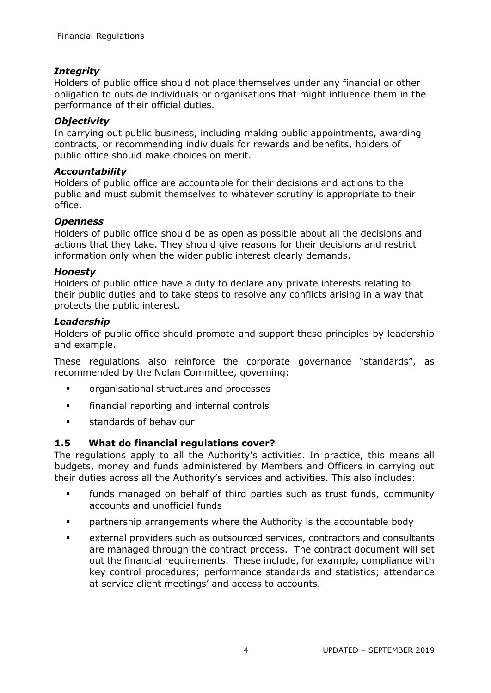# *Integrity*

Holders of public office should not place themselves under any financial or other obligation to outside individuals or organisations that might influence them in the performance of their official duties.

## *Objectivity*

In carrying out public business, including making public appointments, awarding contracts, or recommending individuals for rewards and benefits, holders of public office should make choices on merit.

#### *Accountability*

Holders of public office are accountable for their decisions and actions to the public and must submit themselves to whatever scrutiny is appropriate to their office.

#### *Openness*

Holders of public office should be as open as possible about all the decisions and actions that they take. They should give reasons for their decisions and restrict information only when the wider public interest clearly demands.

#### *Honesty*

Holders of public office have a duty to declare any private interests relating to their public duties and to take steps to resolve any conflicts arising in a way that protects the public interest.

#### *Leadership*

Holders of public office should promote and support these principles by leadership and example.

These regulations also reinforce the corporate governance "standards", as recommended by the Nolan Committee, governing:

- **•** organisational structures and processes
- **Financial reporting and internal controls**
- **standards of behaviour**

# **1.5 What do financial regulations cover?**

The regulations apply to all the Authority's activities. In practice, this means all budgets, money and funds administered by Members and Officers in carrying out their duties across all the Authority's services and activities. This also includes:

- funds managed on behalf of third parties such as trust funds, community accounts and unofficial funds
- partnership arrangements where the Authority is the accountable body
- external providers such as outsourced services, contractors and consultants are managed through the contract process. The contract document will set out the financial requirements. These include, for example, compliance with key control procedures; performance standards and statistics; attendance at service client meetings' and access to accounts.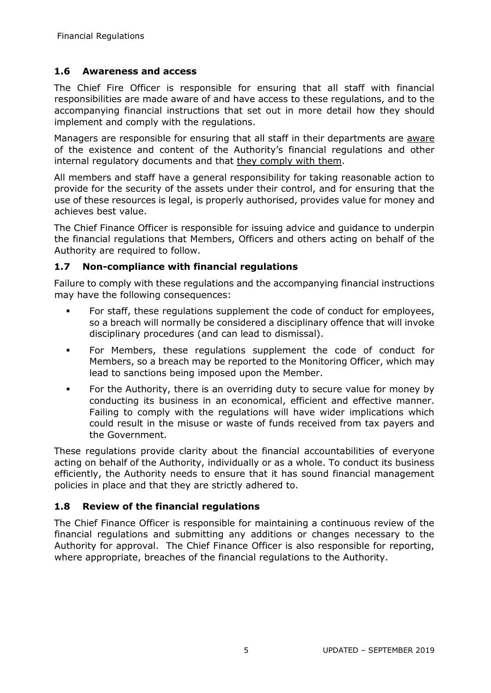# **1.6 Awareness and access**

The Chief Fire Officer is responsible for ensuring that all staff with financial responsibilities are made aware of and have access to these regulations, and to the accompanying financial instructions that set out in more detail how they should implement and comply with the regulations.

Managers are responsible for ensuring that all staff in their departments are aware of the existence and content of the Authority's financial regulations and other internal regulatory documents and that they comply with them.

All members and staff have a general responsibility for taking reasonable action to provide for the security of the assets under their control, and for ensuring that the use of these resources is legal, is properly authorised, provides value for money and achieves best value.

The Chief Finance Officer is responsible for issuing advice and guidance to underpin the financial regulations that Members, Officers and others acting on behalf of the Authority are required to follow.

#### **1.7 Non-compliance with financial regulations**

Failure to comply with these regulations and the accompanying financial instructions may have the following consequences:

- For staff, these regulations supplement the code of conduct for employees, so a breach will normally be considered a disciplinary offence that will invoke disciplinary procedures (and can lead to dismissal).
- For Members, these regulations supplement the code of conduct for Members, so a breach may be reported to the Monitoring Officer, which may lead to sanctions being imposed upon the Member.
- For the Authority, there is an overriding duty to secure value for money by conducting its business in an economical, efficient and effective manner. Failing to comply with the regulations will have wider implications which could result in the misuse or waste of funds received from tax payers and the Government.

These regulations provide clarity about the financial accountabilities of everyone acting on behalf of the Authority, individually or as a whole. To conduct its business efficiently, the Authority needs to ensure that it has sound financial management policies in place and that they are strictly adhered to.

# **1.8 Review of the financial regulations**

The Chief Finance Officer is responsible for maintaining a continuous review of the financial regulations and submitting any additions or changes necessary to the Authority for approval. The Chief Finance Officer is also responsible for reporting, where appropriate, breaches of the financial regulations to the Authority.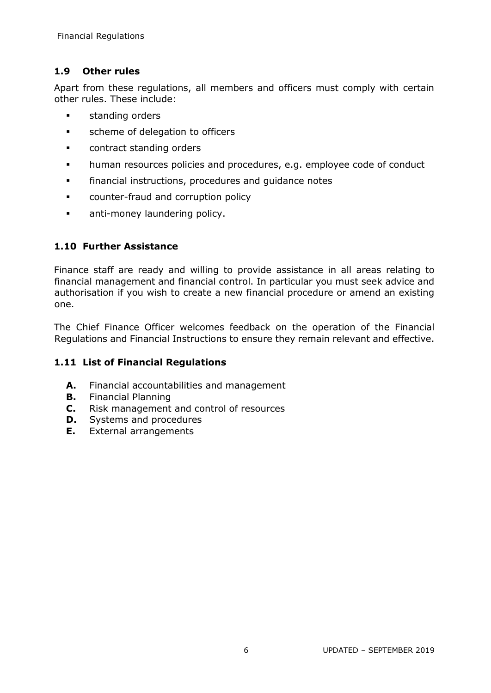# **1.9 Other rules**

Apart from these regulations, all members and officers must comply with certain other rules. These include:

- **standing orders**
- **scheme of delegation to officers**
- **CONDUCTER CONTRACT STANDING OF LACT STANDARY CONTRACT PROPERTY**
- **•** human resources policies and procedures, e.g. employee code of conduct
- **Financial instructions, procedures and quidance notes**
- **•** counter-fraud and corruption policy
- **anti-money laundering policy.**

# **1.10 Further Assistance**

Finance staff are ready and willing to provide assistance in all areas relating to financial management and financial control. In particular you must seek advice and authorisation if you wish to create a new financial procedure or amend an existing one.

The Chief Finance Officer welcomes feedback on the operation of the Financial Regulations and Financial Instructions to ensure they remain relevant and effective.

# **1.11 List of Financial Regulations**

- **A.** Financial accountabilities and management
- **B.** Financial Planning
- **C.** Risk management and control of resources
- **D.** Systems and procedures
- **E.** External arrangements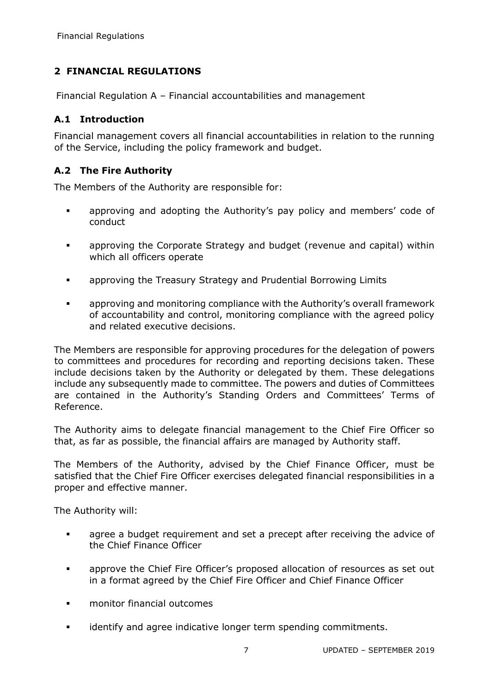# **2 FINANCIAL REGULATIONS**

<span id="page-6-0"></span>Financial Regulation A – Financial accountabilities and management

# **A.1 Introduction**

Financial management covers all financial accountabilities in relation to the running of the Service, including the policy framework and budget.

# **A.2 The Fire Authority**

The Members of the Authority are responsible for:

- **EXED** approving and adopting the Authority's pay policy and members' code of conduct
- approving the Corporate Strategy and budget (revenue and capital) within which all officers operate
- **EXEDENT** approving the Treasury Strategy and Prudential Borrowing Limits
- approving and monitoring compliance with the Authority's overall framework of accountability and control, monitoring compliance with the agreed policy and related executive decisions.

The Members are responsible for approving procedures for the delegation of powers to committees and procedures for recording and reporting decisions taken. These include decisions taken by the Authority or delegated by them. These delegations include any subsequently made to committee. The powers and duties of Committees are contained in the Authority's Standing Orders and Committees' Terms of Reference.

The Authority aims to delegate financial management to the Chief Fire Officer so that, as far as possible, the financial affairs are managed by Authority staff.

The Members of the Authority, advised by the Chief Finance Officer, must be satisfied that the Chief Fire Officer exercises delegated financial responsibilities in a proper and effective manner.

The Authority will:

- **agree a budget requirement and set a precept after receiving the advice of** the Chief Finance Officer
- **EXED** approve the Chief Fire Officer's proposed allocation of resources as set out in a format agreed by the Chief Fire Officer and Chief Finance Officer
- monitor financial outcomes
- **EXECT** identify and agree indicative longer term spending commitments.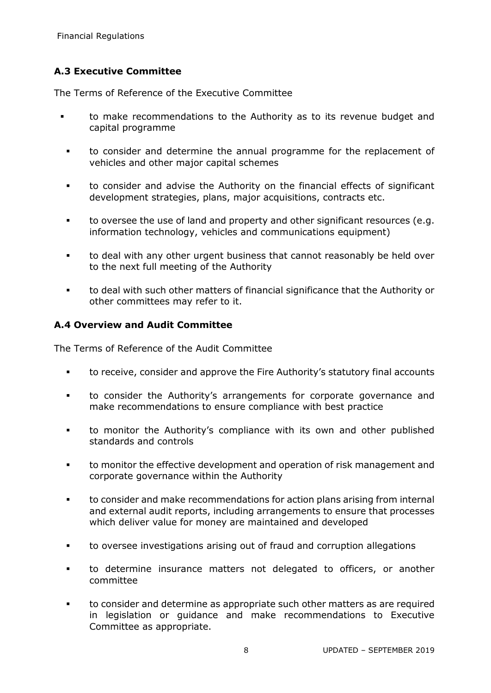# **A.3 Executive Committee**

The Terms of Reference of the Executive Committee

- to make recommendations to the Authority as to its revenue budget and capital programme
	- to consider and determine the annual programme for the replacement of vehicles and other major capital schemes
	- to consider and advise the Authority on the financial effects of significant development strategies, plans, major acquisitions, contracts etc.
	- to oversee the use of land and property and other significant resources (e.g. information technology, vehicles and communications equipment)
	- to deal with any other urgent business that cannot reasonably be held over to the next full meeting of the Authority
	- to deal with such other matters of financial significance that the Authority or other committees may refer to it.

#### **A.4 Overview and Audit Committee**

The Terms of Reference of the Audit Committee

- to receive, consider and approve the Fire Authority's statutory final accounts
- to consider the Authority's arrangements for corporate governance and make recommendations to ensure compliance with best practice
- to monitor the Authority's compliance with its own and other published standards and controls
- **the monitor the effective development and operation of risk management and** corporate governance within the Authority
- to consider and make recommendations for action plans arising from internal and external audit reports, including arrangements to ensure that processes which deliver value for money are maintained and developed
- to oversee investigations arising out of fraud and corruption allegations
- to determine insurance matters not delegated to officers, or another committee
- to consider and determine as appropriate such other matters as are required in legislation or guidance and make recommendations to Executive Committee as appropriate.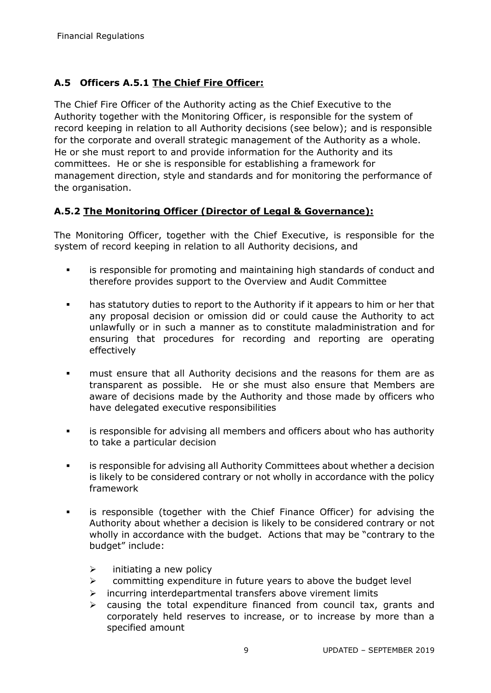# **A.5 Officers A.5.1 The Chief Fire Officer:**

The Chief Fire Officer of the Authority acting as the Chief Executive to the Authority together with the Monitoring Officer, is responsible for the system of record keeping in relation to all Authority decisions (see below); and is responsible for the corporate and overall strategic management of the Authority as a whole. He or she must report to and provide information for the Authority and its committees. He or she is responsible for establishing a framework for management direction, style and standards and for monitoring the performance of the organisation.

# **A.5.2 The Monitoring Officer (Director of Legal & Governance):**

The Monitoring Officer, together with the Chief Executive, is responsible for the system of record keeping in relation to all Authority decisions, and

- is responsible for promoting and maintaining high standards of conduct and therefore provides support to the Overview and Audit Committee
- has statutory duties to report to the Authority if it appears to him or her that any proposal decision or omission did or could cause the Authority to act unlawfully or in such a manner as to constitute maladministration and for ensuring that procedures for recording and reporting are operating effectively
- **Fall 1** must ensure that all Authority decisions and the reasons for them are as transparent as possible. He or she must also ensure that Members are aware of decisions made by the Authority and those made by officers who have delegated executive responsibilities
- is responsible for advising all members and officers about who has authority to take a particular decision
- is responsible for advising all Authority Committees about whether a decision is likely to be considered contrary or not wholly in accordance with the policy framework
- is responsible (together with the Chief Finance Officer) for advising the Authority about whether a decision is likely to be considered contrary or not wholly in accordance with the budget. Actions that may be "contrary to the budget" include:
	- $\triangleright$  initiating a new policy
	- $\triangleright$  committing expenditure in future years to above the budget level
	- $\triangleright$  incurring interdepartmental transfers above virement limits
	- $\triangleright$  causing the total expenditure financed from council tax, grants and corporately held reserves to increase, or to increase by more than a specified amount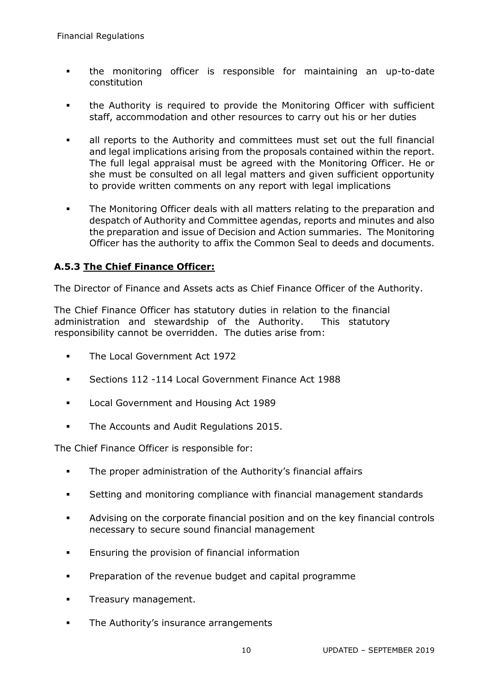- the monitoring officer is responsible for maintaining an up-to-date constitution
- the Authority is required to provide the Monitoring Officer with sufficient staff, accommodation and other resources to carry out his or her duties
- all reports to the Authority and committees must set out the full financial and legal implications arising from the proposals contained within the report. The full legal appraisal must be agreed with the Monitoring Officer. He or she must be consulted on all legal matters and given sufficient opportunity to provide written comments on any report with legal implications
- **The Monitoring Officer deals with all matters relating to the preparation and** despatch of Authority and Committee agendas, reports and minutes and also the preparation and issue of Decision and Action summaries. The Monitoring Officer has the authority to affix the Common Seal to deeds and documents.

# **A.5.3 The Chief Finance Officer:**

The Director of Finance and Assets acts as Chief Finance Officer of the Authority.

The Chief Finance Officer has statutory duties in relation to the financial administration and stewardship of the Authority. This statutory responsibility cannot be overridden. The duties arise from:

- **The Local Government Act 1972**
- Sections 112 -114 Local Government Finance Act 1988
- **Local Government and Housing Act 1989**
- **The Accounts and Audit Regulations 2015.**

The Chief Finance Officer is responsible for:

- **The proper administration of the Authority's financial affairs**
- Setting and monitoring compliance with financial management standards
- Advising on the corporate financial position and on the key financial controls necessary to secure sound financial management
- **Ensuring the provision of financial information**
- **Preparation of the revenue budget and capital programme**
- **Treasury management.**
- **The Authority's insurance arrangements**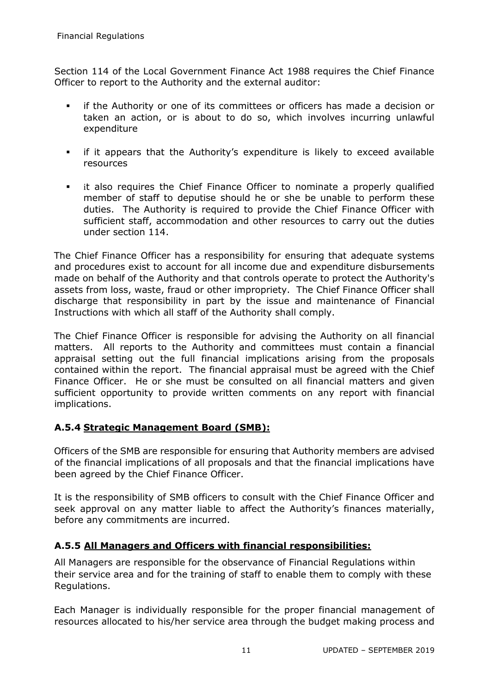Section 114 of the Local Government Finance Act 1988 requires the Chief Finance Officer to report to the Authority and the external auditor:

- if the Authority or one of its committees or officers has made a decision or taken an action, or is about to do so, which involves incurring unlawful expenditure
- if it appears that the Authority's expenditure is likely to exceed available resources
- it also requires the Chief Finance Officer to nominate a properly qualified member of staff to deputise should he or she be unable to perform these duties. The Authority is required to provide the Chief Finance Officer with sufficient staff, accommodation and other resources to carry out the duties under section 114.

The Chief Finance Officer has a responsibility for ensuring that adequate systems and procedures exist to account for all income due and expenditure disbursements made on behalf of the Authority and that controls operate to protect the Authority's assets from loss, waste, fraud or other impropriety. The Chief Finance Officer shall discharge that responsibility in part by the issue and maintenance of Financial Instructions with which all staff of the Authority shall comply.

The Chief Finance Officer is responsible for advising the Authority on all financial matters. All reports to the Authority and committees must contain a financial appraisal setting out the full financial implications arising from the proposals contained within the report. The financial appraisal must be agreed with the Chief Finance Officer. He or she must be consulted on all financial matters and given sufficient opportunity to provide written comments on any report with financial implications.

# **A.5.4 Strategic Management Board (SMB):**

Officers of the SMB are responsible for ensuring that Authority members are advised of the financial implications of all proposals and that the financial implications have been agreed by the Chief Finance Officer.

It is the responsibility of SMB officers to consult with the Chief Finance Officer and seek approval on any matter liable to affect the Authority's finances materially, before any commitments are incurred.

# **A.5.5 All Managers and Officers with financial responsibilities:**

All Managers are responsible for the observance of Financial Regulations within their service area and for the training of staff to enable them to comply with these Regulations.

Each Manager is individually responsible for the proper financial management of resources allocated to his/her service area through the budget making process and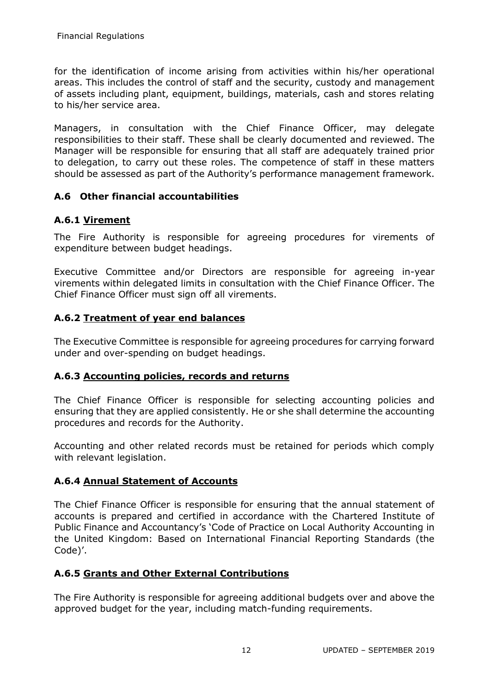for the identification of income arising from activities within his/her operational areas. This includes the control of staff and the security, custody and management of assets including plant, equipment, buildings, materials, cash and stores relating to his/her service area.

Managers, in consultation with the Chief Finance Officer, may delegate responsibilities to their staff. These shall be clearly documented and reviewed. The Manager will be responsible for ensuring that all staff are adequately trained prior to delegation, to carry out these roles. The competence of staff in these matters should be assessed as part of the Authority's performance management framework.

# **A.6 Other financial accountabilities**

# **A.6.1 Virement**

The Fire Authority is responsible for agreeing procedures for virements of expenditure between budget headings.

Executive Committee and/or Directors are responsible for agreeing in-year virements within delegated limits in consultation with the Chief Finance Officer. The Chief Finance Officer must sign off all virements.

# **A.6.2 Treatment of year end balances**

The Executive Committee is responsible for agreeing procedures for carrying forward under and over-spending on budget headings.

#### **A.6.3 Accounting policies, records and returns**

The Chief Finance Officer is responsible for selecting accounting policies and ensuring that they are applied consistently. He or she shall determine the accounting procedures and records for the Authority.

Accounting and other related records must be retained for periods which comply with relevant legislation.

# **A.6.4 Annual Statement of Accounts**

The Chief Finance Officer is responsible for ensuring that the annual statement of accounts is prepared and certified in accordance with the Chartered Institute of Public Finance and Accountancy's 'Code of Practice on Local Authority Accounting in the United Kingdom: Based on International Financial Reporting Standards (the Code)'.

# **A.6.5 Grants and Other External Contributions**

The Fire Authority is responsible for agreeing additional budgets over and above the approved budget for the year, including match-funding requirements.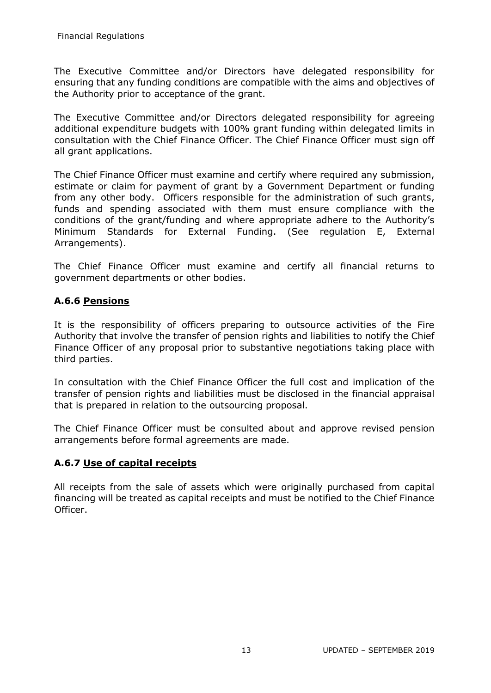The Executive Committee and/or Directors have delegated responsibility for ensuring that any funding conditions are compatible with the aims and objectives of the Authority prior to acceptance of the grant.

The Executive Committee and/or Directors delegated responsibility for agreeing additional expenditure budgets with 100% grant funding within delegated limits in consultation with the Chief Finance Officer. The Chief Finance Officer must sign off all grant applications.

The Chief Finance Officer must examine and certify where required any submission, estimate or claim for payment of grant by a Government Department or funding from any other body. Officers responsible for the administration of such grants, funds and spending associated with them must ensure compliance with the conditions of the grant/funding and where appropriate adhere to the Authority's Minimum Standards for External Funding. (See regulation E, External Arrangements).

The Chief Finance Officer must examine and certify all financial returns to government departments or other bodies.

#### **A.6.6 Pensions**

It is the responsibility of officers preparing to outsource activities of the Fire Authority that involve the transfer of pension rights and liabilities to notify the Chief Finance Officer of any proposal prior to substantive negotiations taking place with third parties.

In consultation with the Chief Finance Officer the full cost and implication of the transfer of pension rights and liabilities must be disclosed in the financial appraisal that is prepared in relation to the outsourcing proposal.

The Chief Finance Officer must be consulted about and approve revised pension arrangements before formal agreements are made.

#### **A.6.7 Use of capital receipts**

All receipts from the sale of assets which were originally purchased from capital financing will be treated as capital receipts and must be notified to the Chief Finance Officer.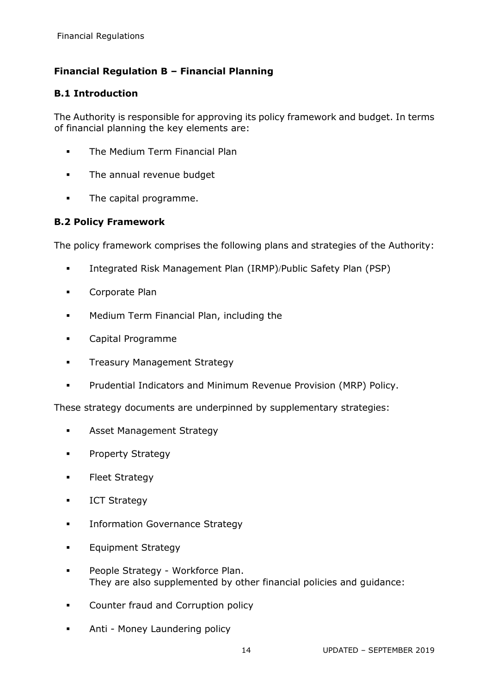# <span id="page-13-0"></span>**Financial Regulation B – Financial Planning**

#### **B.1 Introduction**

The Authority is responsible for approving its policy framework and budget. In terms of financial planning the key elements are:

- **•** The Medium Term Financial Plan
- **The annual revenue budget**
- **The capital programme.**

#### **B.2 Policy Framework**

The policy framework comprises the following plans and strategies of the Authority:

- **Integrated Risk Management Plan (IRMP)/Public Safety Plan (PSP)**
- **Corporate Plan**
- Medium Term Financial Plan, including the
- Capital Programme
- **Treasury Management Strategy**
- **Prudential Indicators and Minimum Revenue Provision (MRP) Policy.**

These strategy documents are underpinned by supplementary strategies:

- **Asset Management Strategy**
- **•** Property Strategy
- **Fleet Strategy**
- **ICT Strategy**
- **Information Governance Strategy**
- Equipment Strategy
- People Strategy Workforce Plan. They are also supplemented by other financial policies and guidance:
- Counter fraud and Corruption policy
- Anti Money Laundering policy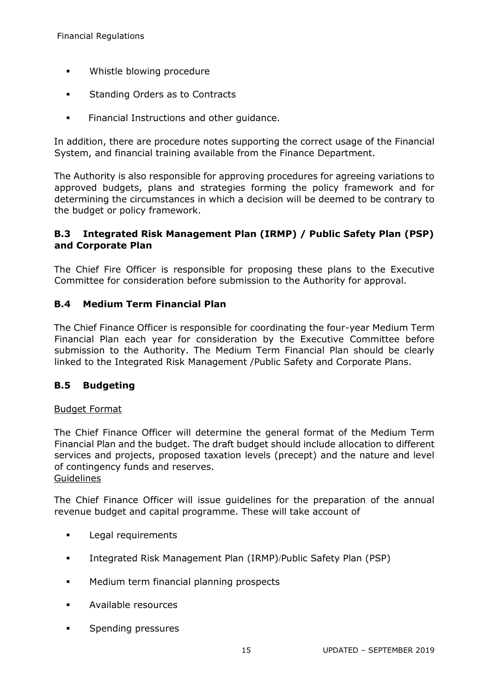- **•** Whistle blowing procedure
- **Standing Orders as to Contracts**
- **Financial Instructions and other quidance.**

In addition, there are procedure notes supporting the correct usage of the Financial System, and financial training available from the Finance Department.

The Authority is also responsible for approving procedures for agreeing variations to approved budgets, plans and strategies forming the policy framework and for determining the circumstances in which a decision will be deemed to be contrary to the budget or policy framework.

# **B.3 Integrated Risk Management Plan (IRMP) / Public Safety Plan (PSP) and Corporate Plan**

The Chief Fire Officer is responsible for proposing these plans to the Executive Committee for consideration before submission to the Authority for approval.

#### **B.4 Medium Term Financial Plan**

The Chief Finance Officer is responsible for coordinating the four-year Medium Term Financial Plan each year for consideration by the Executive Committee before submission to the Authority. The Medium Term Financial Plan should be clearly linked to the Integrated Risk Management /Public Safety and Corporate Plans.

#### **B.5 Budgeting**

#### Budget Format

The Chief Finance Officer will determine the general format of the Medium Term Financial Plan and the budget. The draft budget should include allocation to different services and projects, proposed taxation levels (precept) and the nature and level of contingency funds and reserves. **Guidelines** 

The Chief Finance Officer will issue guidelines for the preparation of the annual revenue budget and capital programme. These will take account of

- **Legal requirements**
- **Integrated Risk Management Plan (IRMP)/Public Safety Plan (PSP)**
- **Medium term financial planning prospects**
- Available resources
- Spending pressures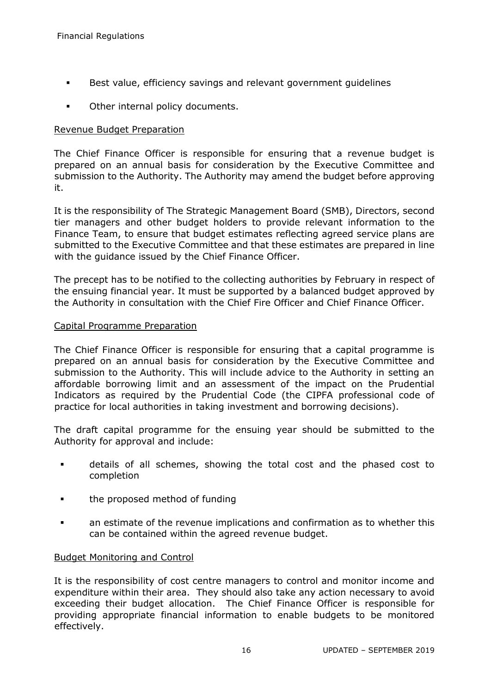- **Best value, efficiency savings and relevant government quidelines**
- Other internal policy documents.

#### Revenue Budget Preparation

The Chief Finance Officer is responsible for ensuring that a revenue budget is prepared on an annual basis for consideration by the Executive Committee and submission to the Authority. The Authority may amend the budget before approving it.

It is the responsibility of The Strategic Management Board (SMB), Directors, second tier managers and other budget holders to provide relevant information to the Finance Team, to ensure that budget estimates reflecting agreed service plans are submitted to the Executive Committee and that these estimates are prepared in line with the guidance issued by the Chief Finance Officer.

The precept has to be notified to the collecting authorities by February in respect of the ensuing financial year. It must be supported by a balanced budget approved by the Authority in consultation with the Chief Fire Officer and Chief Finance Officer.

#### Capital Programme Preparation

The Chief Finance Officer is responsible for ensuring that a capital programme is prepared on an annual basis for consideration by the Executive Committee and submission to the Authority. This will include advice to the Authority in setting an affordable borrowing limit and an assessment of the impact on the Prudential Indicators as required by the Prudential Code (the CIPFA professional code of practice for local authorities in taking investment and borrowing decisions).

The draft capital programme for the ensuing year should be submitted to the Authority for approval and include:

- details of all schemes, showing the total cost and the phased cost to completion
- **the proposed method of funding**
- an estimate of the revenue implications and confirmation as to whether this can be contained within the agreed revenue budget.

#### Budget Monitoring and Control

It is the responsibility of cost centre managers to control and monitor income and expenditure within their area. They should also take any action necessary to avoid exceeding their budget allocation. The Chief Finance Officer is responsible for providing appropriate financial information to enable budgets to be monitored effectively.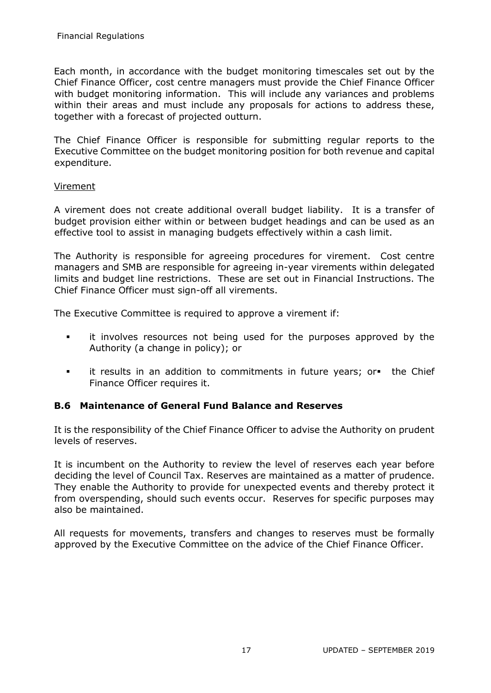Each month, in accordance with the budget monitoring timescales set out by the Chief Finance Officer, cost centre managers must provide the Chief Finance Officer with budget monitoring information. This will include any variances and problems within their areas and must include any proposals for actions to address these, together with a forecast of projected outturn.

The Chief Finance Officer is responsible for submitting regular reports to the Executive Committee on the budget monitoring position for both revenue and capital expenditure.

#### Virement

A virement does not create additional overall budget liability. It is a transfer of budget provision either within or between budget headings and can be used as an effective tool to assist in managing budgets effectively within a cash limit.

The Authority is responsible for agreeing procedures for virement. Cost centre managers and SMB are responsible for agreeing in-year virements within delegated limits and budget line restrictions. These are set out in Financial Instructions. The Chief Finance Officer must sign-off all virements.

The Executive Committee is required to approve a virement if:

- **it involves resources not being used for the purposes approved by the** Authority (a change in policy); or
- it results in an addition to commitments in future years; or the Chief Finance Officer requires it.

#### **B.6 Maintenance of General Fund Balance and Reserves**

It is the responsibility of the Chief Finance Officer to advise the Authority on prudent levels of reserves.

It is incumbent on the Authority to review the level of reserves each year before deciding the level of Council Tax. Reserves are maintained as a matter of prudence. They enable the Authority to provide for unexpected events and thereby protect it from overspending, should such events occur. Reserves for specific purposes may also be maintained.

All requests for movements, transfers and changes to reserves must be formally approved by the Executive Committee on the advice of the Chief Finance Officer.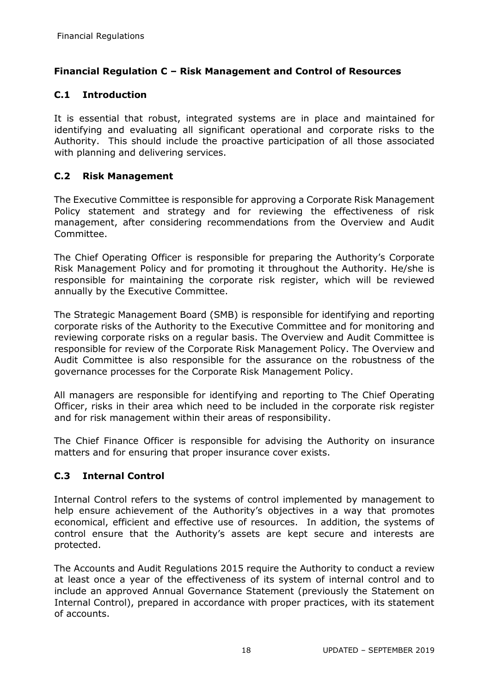# <span id="page-17-0"></span>**Financial Regulation C – Risk Management and Control of Resources**

# **C.1 Introduction**

It is essential that robust, integrated systems are in place and maintained for identifying and evaluating all significant operational and corporate risks to the Authority. This should include the proactive participation of all those associated with planning and delivering services.

#### **C.2 Risk Management**

The Executive Committee is responsible for approving a Corporate Risk Management Policy statement and strategy and for reviewing the effectiveness of risk management, after considering recommendations from the Overview and Audit Committee.

The Chief Operating Officer is responsible for preparing the Authority's Corporate Risk Management Policy and for promoting it throughout the Authority. He/she is responsible for maintaining the corporate risk register, which will be reviewed annually by the Executive Committee.

The Strategic Management Board (SMB) is responsible for identifying and reporting corporate risks of the Authority to the Executive Committee and for monitoring and reviewing corporate risks on a regular basis. The Overview and Audit Committee is responsible for review of the Corporate Risk Management Policy. The Overview and Audit Committee is also responsible for the assurance on the robustness of the governance processes for the Corporate Risk Management Policy.

All managers are responsible for identifying and reporting to The Chief Operating Officer, risks in their area which need to be included in the corporate risk register and for risk management within their areas of responsibility.

The Chief Finance Officer is responsible for advising the Authority on insurance matters and for ensuring that proper insurance cover exists.

# **C.3 Internal Control**

Internal Control refers to the systems of control implemented by management to help ensure achievement of the Authority's objectives in a way that promotes economical, efficient and effective use of resources. In addition, the systems of control ensure that the Authority's assets are kept secure and interests are protected.

The Accounts and Audit Regulations 2015 require the Authority to conduct a review at least once a year of the effectiveness of its system of internal control and to include an approved Annual Governance Statement (previously the Statement on Internal Control), prepared in accordance with proper practices, with its statement of accounts.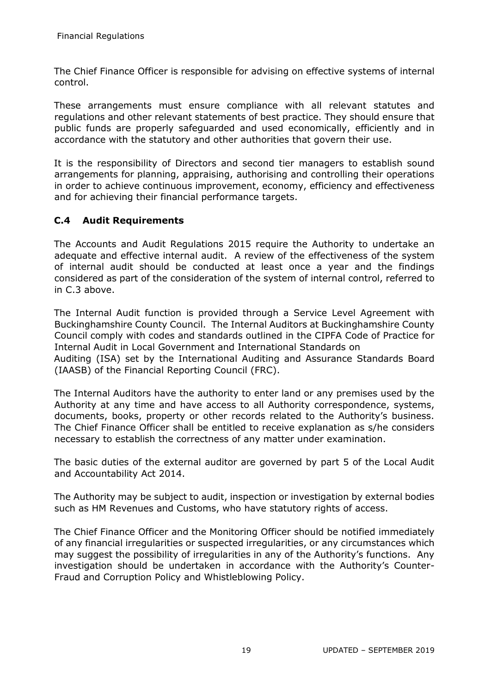The Chief Finance Officer is responsible for advising on effective systems of internal control.

These arrangements must ensure compliance with all relevant statutes and regulations and other relevant statements of best practice. They should ensure that public funds are properly safeguarded and used economically, efficiently and in accordance with the statutory and other authorities that govern their use.

It is the responsibility of Directors and second tier managers to establish sound arrangements for planning, appraising, authorising and controlling their operations in order to achieve continuous improvement, economy, efficiency and effectiveness and for achieving their financial performance targets.

# **C.4 Audit Requirements**

The Accounts and Audit Regulations 2015 require the Authority to undertake an adequate and effective internal audit. A review of the effectiveness of the system of internal audit should be conducted at least once a year and the findings considered as part of the consideration of the system of internal control, referred to in C.3 above.

The Internal Audit function is provided through a Service Level Agreement with Buckinghamshire County Council. The Internal Auditors at Buckinghamshire County Council comply with codes and standards outlined in the CIPFA Code of Practice for Internal Audit in Local Government and International Standards on Auditing (ISA) set by the International Auditing and Assurance Standards Board (IAASB) of the Financial Reporting Council (FRC).

The Internal Auditors have the authority to enter land or any premises used by the Authority at any time and have access to all Authority correspondence, systems, documents, books, property or other records related to the Authority's business. The Chief Finance Officer shall be entitled to receive explanation as s/he considers necessary to establish the correctness of any matter under examination.

The basic duties of the external auditor are governed by part 5 of the Local Audit and Accountability Act 2014.

The Authority may be subject to audit, inspection or investigation by external bodies such as HM Revenues and Customs, who have statutory rights of access.

The Chief Finance Officer and the Monitoring Officer should be notified immediately of any financial irregularities or suspected irregularities, or any circumstances which may suggest the possibility of irregularities in any of the Authority's functions. Any investigation should be undertaken in accordance with the Authority's Counter-Fraud and Corruption Policy and Whistleblowing Policy.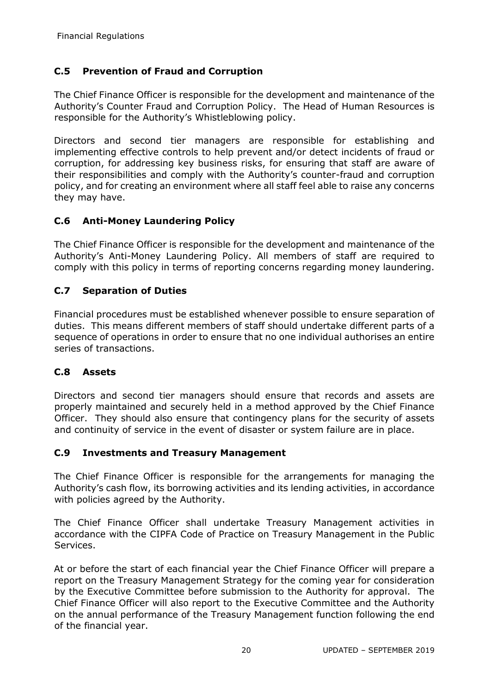# **C.5 Prevention of Fraud and Corruption**

The Chief Finance Officer is responsible for the development and maintenance of the Authority's Counter Fraud and Corruption Policy. The Head of Human Resources is responsible for the Authority's Whistleblowing policy.

Directors and second tier managers are responsible for establishing and implementing effective controls to help prevent and/or detect incidents of fraud or corruption, for addressing key business risks, for ensuring that staff are aware of their responsibilities and comply with the Authority's counter-fraud and corruption policy, and for creating an environment where all staff feel able to raise any concerns they may have.

# **C.6 Anti-Money Laundering Policy**

The Chief Finance Officer is responsible for the development and maintenance of the Authority's Anti-Money Laundering Policy. All members of staff are required to comply with this policy in terms of reporting concerns regarding money laundering.

#### **C.7 Separation of Duties**

Financial procedures must be established whenever possible to ensure separation of duties. This means different members of staff should undertake different parts of a sequence of operations in order to ensure that no one individual authorises an entire series of transactions.

#### **C.8 Assets**

Directors and second tier managers should ensure that records and assets are properly maintained and securely held in a method approved by the Chief Finance Officer. They should also ensure that contingency plans for the security of assets and continuity of service in the event of disaster or system failure are in place.

#### **C.9 Investments and Treasury Management**

The Chief Finance Officer is responsible for the arrangements for managing the Authority's cash flow, its borrowing activities and its lending activities, in accordance with policies agreed by the Authority.

The Chief Finance Officer shall undertake Treasury Management activities in accordance with the CIPFA Code of Practice on Treasury Management in the Public Services.

At or before the start of each financial year the Chief Finance Officer will prepare a report on the Treasury Management Strategy for the coming year for consideration by the Executive Committee before submission to the Authority for approval. The Chief Finance Officer will also report to the Executive Committee and the Authority on the annual performance of the Treasury Management function following the end of the financial year.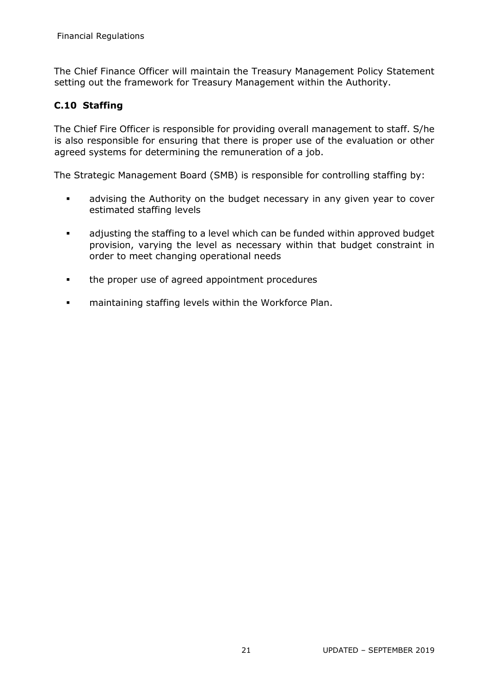The Chief Finance Officer will maintain the Treasury Management Policy Statement setting out the framework for Treasury Management within the Authority.

# **C.10 Staffing**

The Chief Fire Officer is responsible for providing overall management to staff. S/he is also responsible for ensuring that there is proper use of the evaluation or other agreed systems for determining the remuneration of a job.

The Strategic Management Board (SMB) is responsible for controlling staffing by:

- advising the Authority on the budget necessary in any given year to cover estimated staffing levels
- adjusting the staffing to a level which can be funded within approved budget provision, varying the level as necessary within that budget constraint in order to meet changing operational needs
- the proper use of agreed appointment procedures
- maintaining staffing levels within the Workforce Plan.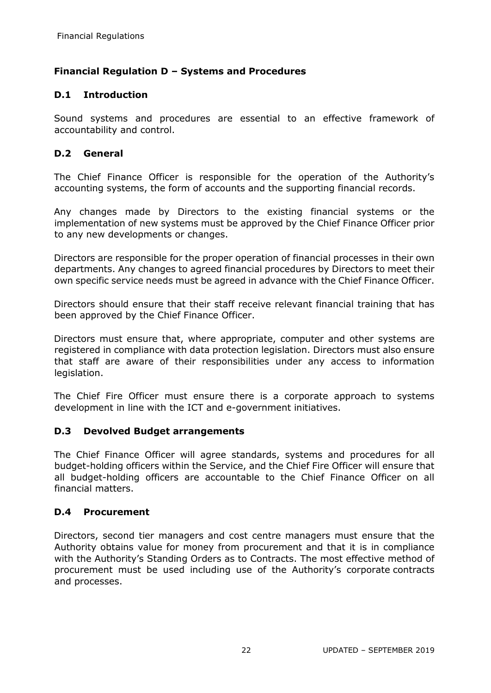# <span id="page-21-0"></span>**Financial Regulation D – Systems and Procedures**

# **D.1 Introduction**

Sound systems and procedures are essential to an effective framework of accountability and control.

# **D.2 General**

The Chief Finance Officer is responsible for the operation of the Authority's accounting systems, the form of accounts and the supporting financial records.

Any changes made by Directors to the existing financial systems or the implementation of new systems must be approved by the Chief Finance Officer prior to any new developments or changes.

Directors are responsible for the proper operation of financial processes in their own departments. Any changes to agreed financial procedures by Directors to meet their own specific service needs must be agreed in advance with the Chief Finance Officer.

Directors should ensure that their staff receive relevant financial training that has been approved by the Chief Finance Officer.

Directors must ensure that, where appropriate, computer and other systems are registered in compliance with data protection legislation. Directors must also ensure that staff are aware of their responsibilities under any access to information legislation.

The Chief Fire Officer must ensure there is a corporate approach to systems development in line with the ICT and e-government initiatives.

# **D.3 Devolved Budget arrangements**

The Chief Finance Officer will agree standards, systems and procedures for all budget-holding officers within the Service, and the Chief Fire Officer will ensure that all budget-holding officers are accountable to the Chief Finance Officer on all financial matters.

# **D.4 Procurement**

Directors, second tier managers and cost centre managers must ensure that the Authority obtains value for money from procurement and that it is in compliance with the Authority's Standing Orders as to Contracts. The most effective method of procurement must be used including use of the Authority's corporate contracts and processes.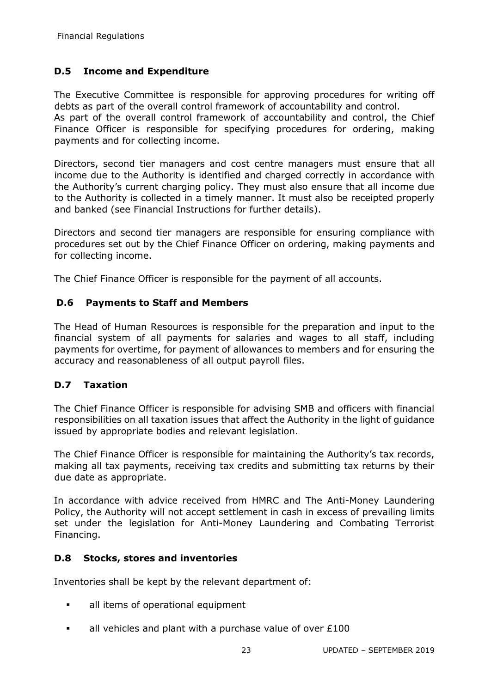# **D.5 Income and Expenditure**

The Executive Committee is responsible for approving procedures for writing off debts as part of the overall control framework of accountability and control. As part of the overall control framework of accountability and control, the Chief

Finance Officer is responsible for specifying procedures for ordering, making payments and for collecting income.

Directors, second tier managers and cost centre managers must ensure that all income due to the Authority is identified and charged correctly in accordance with the Authority's current charging policy. They must also ensure that all income due to the Authority is collected in a timely manner. It must also be receipted properly and banked (see Financial Instructions for further details).

Directors and second tier managers are responsible for ensuring compliance with procedures set out by the Chief Finance Officer on ordering, making payments and for collecting income.

The Chief Finance Officer is responsible for the payment of all accounts.

# **D.6 Payments to Staff and Members**

The Head of Human Resources is responsible for the preparation and input to the financial system of all payments for salaries and wages to all staff, including payments for overtime, for payment of allowances to members and for ensuring the accuracy and reasonableness of all output payroll files.

# **D.7 Taxation**

The Chief Finance Officer is responsible for advising SMB and officers with financial responsibilities on all taxation issues that affect the Authority in the light of guidance issued by appropriate bodies and relevant legislation.

The Chief Finance Officer is responsible for maintaining the Authority's tax records, making all tax payments, receiving tax credits and submitting tax returns by their due date as appropriate.

In accordance with advice received from HMRC and The Anti-Money Laundering Policy, the Authority will not accept settlement in cash in excess of prevailing limits set under the legislation for Anti-Money Laundering and Combating Terrorist Financing.

# **D.8 Stocks, stores and inventories**

Inventories shall be kept by the relevant department of:

- all items of operational equipment
- all vehicles and plant with a purchase value of over £100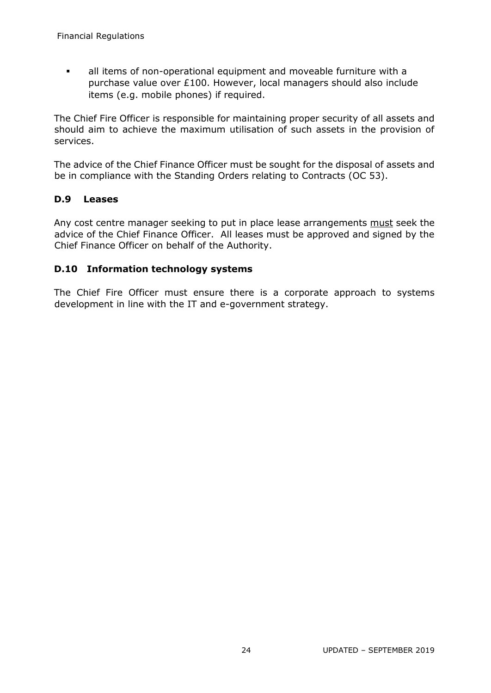all items of non-operational equipment and moveable furniture with a purchase value over £100. However, local managers should also include items (e.g. mobile phones) if required.

The Chief Fire Officer is responsible for maintaining proper security of all assets and should aim to achieve the maximum utilisation of such assets in the provision of services.

The advice of the Chief Finance Officer must be sought for the disposal of assets and be in compliance with the Standing Orders relating to Contracts (OC 53).

#### **D.9 Leases**

Any cost centre manager seeking to put in place lease arrangements must seek the advice of the Chief Finance Officer. All leases must be approved and signed by the Chief Finance Officer on behalf of the Authority.

#### **D.10 Information technology systems**

The Chief Fire Officer must ensure there is a corporate approach to systems development in line with the IT and e-government strategy.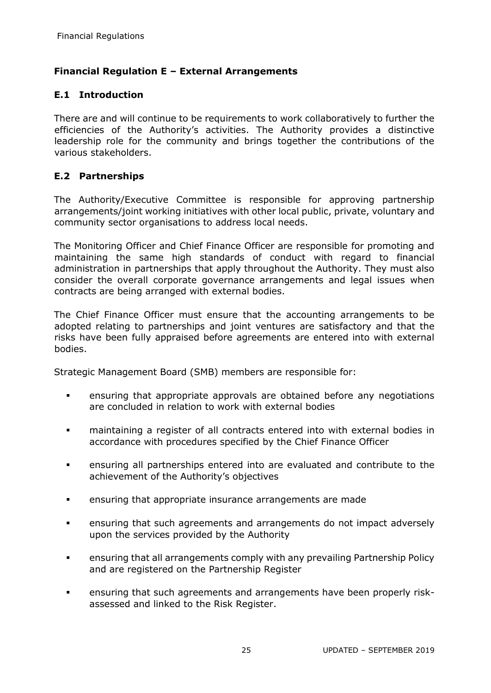# <span id="page-24-0"></span>**Financial Regulation E – External Arrangements**

# **E.1 Introduction**

There are and will continue to be requirements to work collaboratively to further the efficiencies of the Authority's activities. The Authority provides a distinctive leadership role for the community and brings together the contributions of the various stakeholders.

# **E.2 Partnerships**

The Authority/Executive Committee is responsible for approving partnership arrangements/joint working initiatives with other local public, private, voluntary and community sector organisations to address local needs.

The Monitoring Officer and Chief Finance Officer are responsible for promoting and maintaining the same high standards of conduct with regard to financial administration in partnerships that apply throughout the Authority. They must also consider the overall corporate governance arrangements and legal issues when contracts are being arranged with external bodies.

The Chief Finance Officer must ensure that the accounting arrangements to be adopted relating to partnerships and joint ventures are satisfactory and that the risks have been fully appraised before agreements are entered into with external bodies.

Strategic Management Board (SMB) members are responsible for:

- ensuring that appropriate approvals are obtained before any negotiations are concluded in relation to work with external bodies
- maintaining a register of all contracts entered into with external bodies in accordance with procedures specified by the Chief Finance Officer
- ensuring all partnerships entered into are evaluated and contribute to the achievement of the Authority's objectives
- ensuring that appropriate insurance arrangements are made
- ensuring that such agreements and arrangements do not impact adversely upon the services provided by the Authority
- ensuring that all arrangements comply with any prevailing Partnership Policy and are registered on the Partnership Register
- ensuring that such agreements and arrangements have been properly riskassessed and linked to the Risk Register.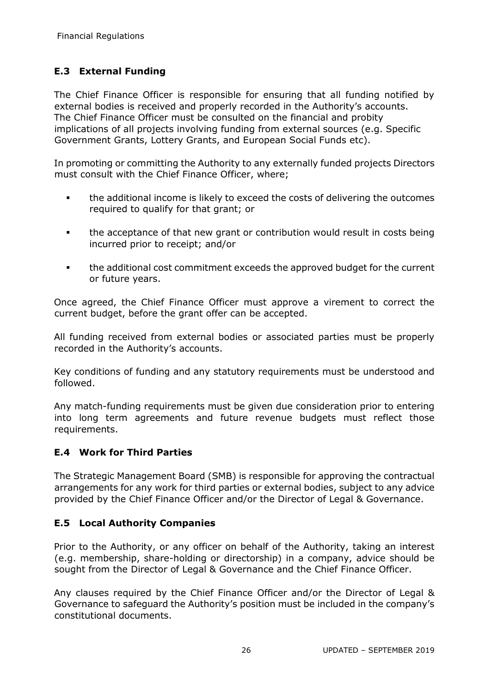# **E.3 External Funding**

The Chief Finance Officer is responsible for ensuring that all funding notified by external bodies is received and properly recorded in the Authority's accounts. The Chief Finance Officer must be consulted on the financial and probity implications of all projects involving funding from external sources (e.g. Specific Government Grants, Lottery Grants, and European Social Funds etc).

In promoting or committing the Authority to any externally funded projects Directors must consult with the Chief Finance Officer, where;

- the additional income is likely to exceed the costs of delivering the outcomes required to qualify for that grant; or
- the acceptance of that new grant or contribution would result in costs being incurred prior to receipt; and/or
- the additional cost commitment exceeds the approved budget for the current or future years.

Once agreed, the Chief Finance Officer must approve a virement to correct the current budget, before the grant offer can be accepted.

All funding received from external bodies or associated parties must be properly recorded in the Authority's accounts.

Key conditions of funding and any statutory requirements must be understood and followed.

Any match-funding requirements must be given due consideration prior to entering into long term agreements and future revenue budgets must reflect those requirements.

# **E.4 Work for Third Parties**

The Strategic Management Board (SMB) is responsible for approving the contractual arrangements for any work for third parties or external bodies, subject to any advice provided by the Chief Finance Officer and/or the Director of Legal & Governance.

# **E.5 Local Authority Companies**

Prior to the Authority, or any officer on behalf of the Authority, taking an interest (e.g. membership, share-holding or directorship) in a company, advice should be sought from the Director of Legal & Governance and the Chief Finance Officer.

Any clauses required by the Chief Finance Officer and/or the Director of Legal & Governance to safeguard the Authority's position must be included in the company's constitutional documents.